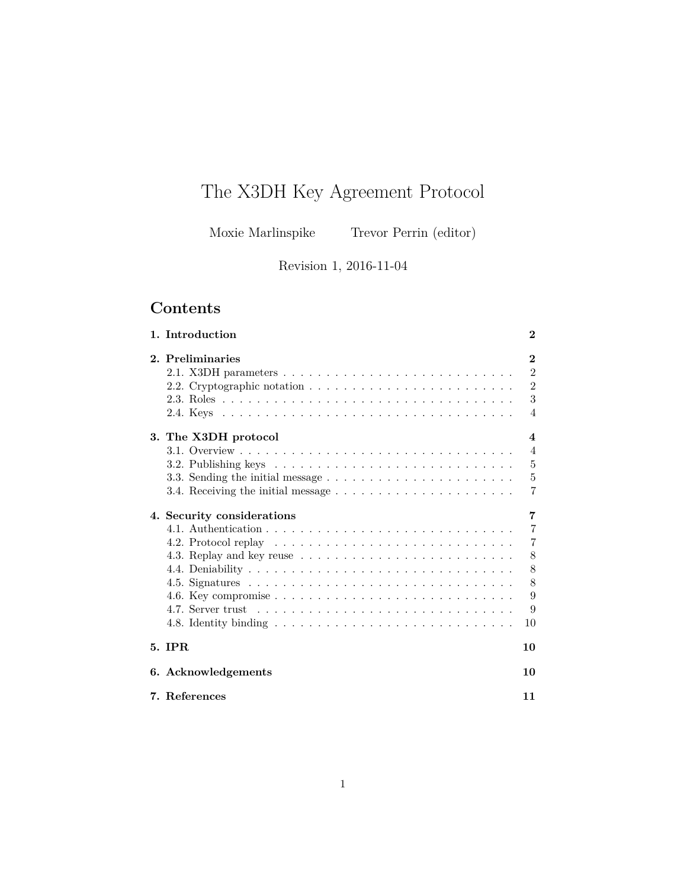# The X3DH Key Agreement Protocol

Moxie Marlinspike Trevor Perrin (editor)

Revision 1, 2016-11-04

## **Contents**

| 1. Introduction<br>$\bf{2}$                                                                   |                |  |  |
|-----------------------------------------------------------------------------------------------|----------------|--|--|
| 2. Preliminaries                                                                              | $\bf{2}$       |  |  |
|                                                                                               | $\overline{2}$ |  |  |
|                                                                                               | $\overline{2}$ |  |  |
|                                                                                               | 3              |  |  |
|                                                                                               | $\overline{4}$ |  |  |
| 3. The X3DH protocol<br>$\boldsymbol{4}$                                                      |                |  |  |
|                                                                                               | $\overline{4}$ |  |  |
|                                                                                               | 5              |  |  |
| 3.3. Sending the initial message $\dots \dots \dots \dots \dots \dots \dots \dots$            | $\overline{5}$ |  |  |
| 3.4. Receiving the initial message $\dots \dots \dots \dots \dots \dots \dots \dots$          | 7              |  |  |
| 7<br>4. Security considerations                                                               |                |  |  |
|                                                                                               | $\overline{7}$ |  |  |
|                                                                                               | 7              |  |  |
|                                                                                               | 8              |  |  |
|                                                                                               | 8              |  |  |
|                                                                                               | 8              |  |  |
| 4.6. Key compromise $\ldots \ldots \ldots \ldots \ldots \ldots \ldots \ldots \ldots$          | 9              |  |  |
|                                                                                               | 9              |  |  |
| 4.8. Identity binding $\ldots \ldots \ldots \ldots \ldots \ldots \ldots \ldots \ldots \ldots$ | 10             |  |  |
| 5. IPR<br>10                                                                                  |                |  |  |
| 6. Acknowledgements                                                                           | 10             |  |  |
| 7. References                                                                                 | 11             |  |  |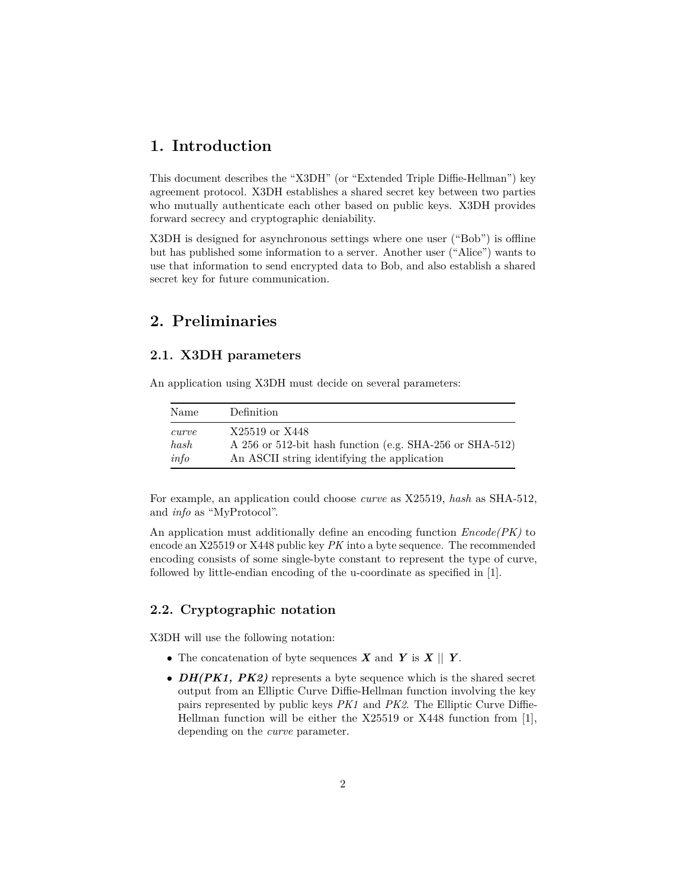### <span id="page-1-0"></span>**1. Introduction**

This document describes the "X3DH" (or "Extended Triple Diffie-Hellman") key agreement protocol. X3DH establishes a shared secret key between two parties who mutually authenticate each other based on public keys. X3DH provides forward secrecy and cryptographic deniability.

X3DH is designed for asynchronous settings where one user ("Bob") is offline but has published some information to a server. Another user ("Alice") wants to use that information to send encrypted data to Bob, and also establish a shared secret key for future communication.

### <span id="page-1-1"></span>**2. Preliminaries**

### <span id="page-1-4"></span><span id="page-1-2"></span>**2.1. X3DH parameters**

An application using X3DH must decide on several parameters:

| Name  | Definition                                               |
|-------|----------------------------------------------------------|
| curve | X25519 or X448                                           |
| hash  | A 256 or 512-bit hash function (e.g. SHA-256 or SHA-512) |
| info  | An ASCII string identifying the application              |

For example, an application could choose *curve* as X25519, *hash* as SHA-512, and *info* as "MyProtocol".

An application must additionally define an encoding function *Encode(PK)* to encode an X25519 or X448 public key *PK* into a byte sequence. The recommended encoding consists of some single-byte constant to represent the type of curve, followed by little-endian encoding of the u-coordinate as specified in [\[1\]](#page-10-1).

### <span id="page-1-3"></span>**2.2. Cryptographic notation**

X3DH will use the following notation:

- The concatenation of byte sequences  $\boldsymbol{X}$  and  $\boldsymbol{Y}$  is  $\boldsymbol{X} \parallel \boldsymbol{Y}$ .
- *DH(PK1, PK2)* represents a byte sequence which is the shared secret output from an Elliptic Curve Diffie-Hellman function involving the key pairs represented by public keys *PK1* and *PK2*. The Elliptic Curve Diffie-Hellman function will be either the X25519 or X448 function from [\[1\]](#page-10-1), depending on the *curve* parameter.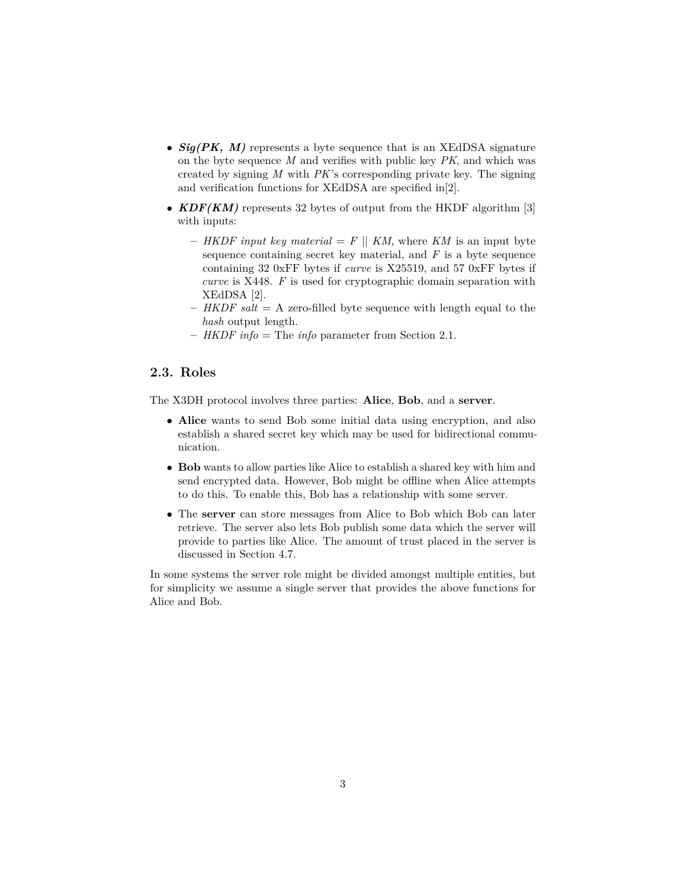- *Sig(PK, M)* represents a byte sequence that is an XEdDSA signature on the byte sequence *M* and verifies with public key *PK*, and which was created by signing *M* with *PK*'s corresponding private key. The signing and verification functions for XEdDSA are specified in[\[2\]](#page-10-2).
- **KDF(KM)** represents 32 bytes of output from the HKDF algorithm [\[3\]](#page-10-3) with inputs:
	- $-$  *HKDF input key material*  $=$  *F*  $||$  *KM*, where *KM* is an input byte sequence containing secret key material, and *F* is a byte sequence containing 32 0xFF bytes if *curve* is X25519, and 57 0xFF bytes if *curve* is X448. *F* is used for cryptographic domain separation with XEdDSA [\[2\]](#page-10-2).
	- **–** *HKDF salt* = A zero-filled byte sequence with length equal to the *hash* output length.
	- **–** *HKDF info* = The *info* parameter from [Section 2.1.](#page-1-4)

### <span id="page-2-0"></span>**2.3. Roles**

The X3DH protocol involves three parties: **Alice**, **Bob**, and a **server**.

- **Alice** wants to send Bob some initial data using encryption, and also establish a shared secret key which may be used for bidirectional communication.
- **Bob** wants to allow parties like Alice to establish a shared key with him and send encrypted data. However, Bob might be offline when Alice attempts to do this. To enable this, Bob has a relationship with some server.
- The **server** can store messages from Alice to Bob which Bob can later retrieve. The server also lets Bob publish some data which the server will provide to parties like Alice. The amount of trust placed in the server is discussed in [Section 4.7.](#page-8-2)

In some systems the server role might be divided amongst multiple entities, but for simplicity we assume a single server that provides the above functions for Alice and Bob.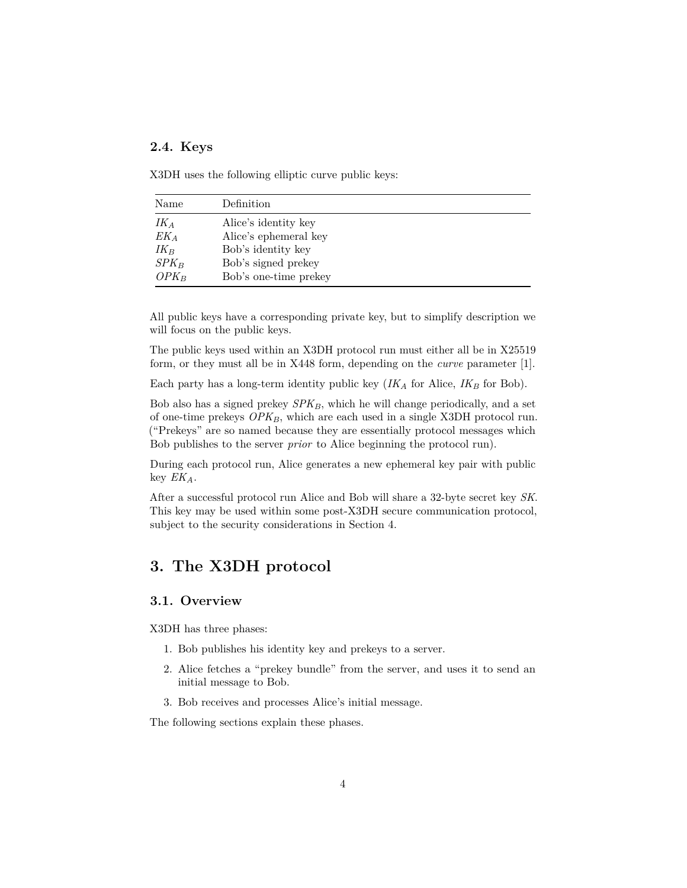### <span id="page-3-0"></span>**2.4. Keys**

X3DH uses the following elliptic curve public keys:

| Name    | Definition            |
|---------|-----------------------|
| $IK_A$  | Alice's identity key  |
| $EK_A$  | Alice's ephemeral key |
| $IK_B$  | Bob's identity key    |
| $SPK_B$ | Bob's signed prekey   |
| $OPK_B$ | Bob's one-time prekey |

All public keys have a corresponding private key, but to simplify description we will focus on the public keys.

The public keys used within an X3DH protocol run must either all be in X25519 form, or they must all be in X448 form, depending on the *curve* parameter [\[1\]](#page-10-1).

Each party has a long-term identity public key  $(IK_A$  for Alice,  $IK_B$  for Bob).

Bob also has a signed prekey *SPKB*, which he will change periodically, and a set of one-time prekeys *OPKB*, which are each used in a single X3DH protocol run. ("Prekeys" are so named because they are essentially protocol messages which Bob publishes to the server *prior* to Alice beginning the protocol run).

During each protocol run, Alice generates a new ephemeral key pair with public key *EKA*.

After a successful protocol run Alice and Bob will share a 32-byte secret key *SK*. This key may be used within some post-X3DH secure communication protocol, subject to the security considerations in [Section 4.](#page-6-4)

### <span id="page-3-1"></span>**3. The X3DH protocol**

#### <span id="page-3-2"></span>**3.1. Overview**

X3DH has three phases:

- 1. Bob publishes his identity key and prekeys to a server.
- 2. Alice fetches a "prekey bundle" from the server, and uses it to send an initial message to Bob.
- 3. Bob receives and processes Alice's initial message.

The following sections explain these phases.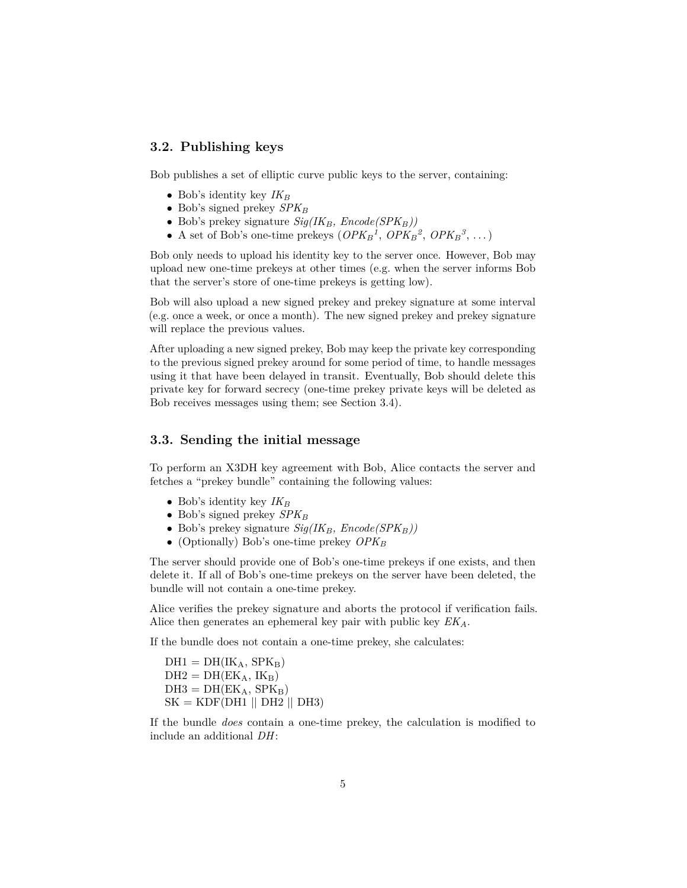### <span id="page-4-0"></span>**3.2. Publishing keys**

Bob publishes a set of elliptic curve public keys to the server, containing:

- Bob's identity key  $IK_B$
- Bob's signed prekey *SPK<sup>B</sup>*
- Bob's prekey signature *Sig(IKB, Encode(SPKB))*
- A set of Bob's one-time prekeys  $(\mathit{OPK}_{\mathit{B}}^1, \mathit{OPK}_{\mathit{B}}^2, \mathit{OPK}_{\mathit{B}}^3, \dots)$

Bob only needs to upload his identity key to the server once. However, Bob may upload new one-time prekeys at other times (e.g. when the server informs Bob that the server's store of one-time prekeys is getting low).

Bob will also upload a new signed prekey and prekey signature at some interval (e.g. once a week, or once a month). The new signed prekey and prekey signature will replace the previous values.

After uploading a new signed prekey, Bob may keep the private key corresponding to the previous signed prekey around for some period of time, to handle messages using it that have been delayed in transit. Eventually, Bob should delete this private key for forward secrecy (one-time prekey private keys will be deleted as Bob receives messages using them; see [Section 3.4\)](#page-5-0).

### <span id="page-4-1"></span>**3.3. Sending the initial message**

To perform an X3DH key agreement with Bob, Alice contacts the server and fetches a "prekey bundle" containing the following values:

- Bob's identity key *IK<sup>B</sup>*
- Bob's signed prekey *SPK<sup>B</sup>*
- Bob's prekey signature *Sig(IKB, Encode(SPKB))*
- (Optionally) Bob's one-time prekey *OPK<sup>B</sup>*

The server should provide one of Bob's one-time prekeys if one exists, and then delete it. If all of Bob's one-time prekeys on the server have been deleted, the bundle will not contain a one-time prekey.

Alice verifies the prekey signature and aborts the protocol if verification fails. Alice then generates an ephemeral key pair with public key *EKA*.

If the bundle does not contain a one-time prekey, she calculates:

 $DH1 = DH(IK_A, SPK_B)$  $DH2 = DH(EK_A, IK_B)$  $DH3 = DH(EK_A, SPK_B)$  $SK = KDF(DH1 || DH2 || DH3)$ 

If the bundle *does* contain a one-time prekey, the calculation is modified to include an additional *DH*: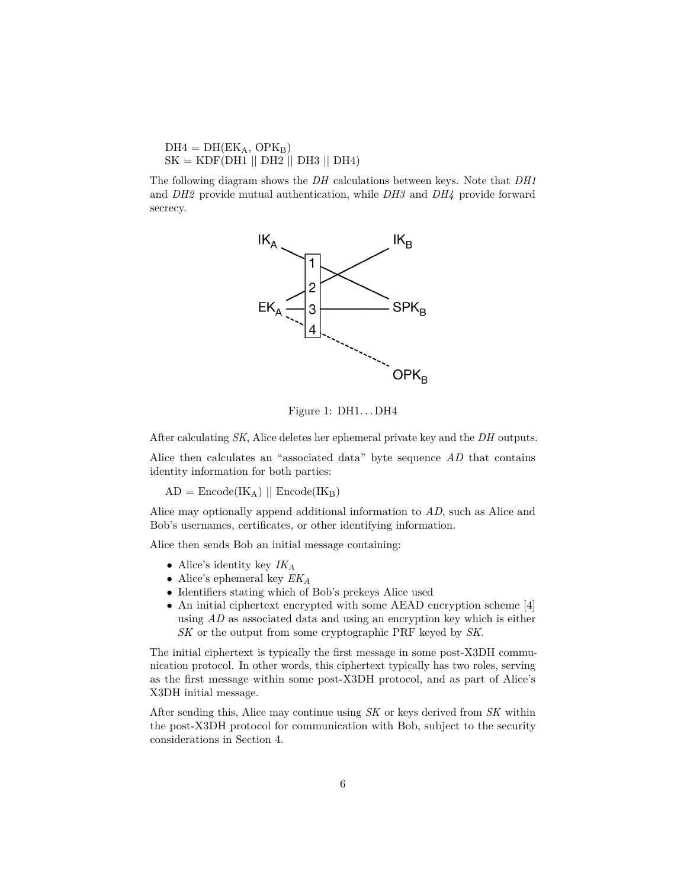$DH4 = DH(EK_A, OPK_B)$  $SK = KDF(DH1 || DH2 || DH3 || DH4)$ 

The following diagram shows the *DH* calculations between keys. Note that *DH1* and *DH2* provide mutual authentication, while *DH3* and *DH4* provide forward secrecy.



Figure 1:  $DH1...DH4$ 

After calculating *SK*, Alice deletes her ephemeral private key and the *DH* outputs.

Alice then calculates an "associated data" byte sequence *AD* that contains identity information for both parties:

 $AD = \text{Encode}(IK_A) \parallel \text{Encode}(IK_B)$ 

Alice may optionally append additional information to *AD*, such as Alice and Bob's usernames, certificates, or other identifying information.

Alice then sends Bob an initial message containing:

- Alice's identity key *IK<sup>A</sup>*
- Alice's ephemeral key *EK<sup>A</sup>*
- Identifiers stating which of Bob's prekeys Alice used
- An initial ciphertext encrypted with some AEAD encryption scheme [\[4\]](#page-10-4) using *AD* as associated data and using an encryption key which is either *SK* or the output from some cryptographic PRF keyed by *SK*.

The initial ciphertext is typically the first message in some post-X3DH communication protocol. In other words, this ciphertext typically has two roles, serving as the first message within some post-X3DH protocol, and as part of Alice's X3DH initial message.

<span id="page-5-0"></span>After sending this, Alice may continue using *SK* or keys derived from *SK* within the post-X3DH protocol for communication with Bob, subject to the security considerations in [Section 4.](#page-6-4)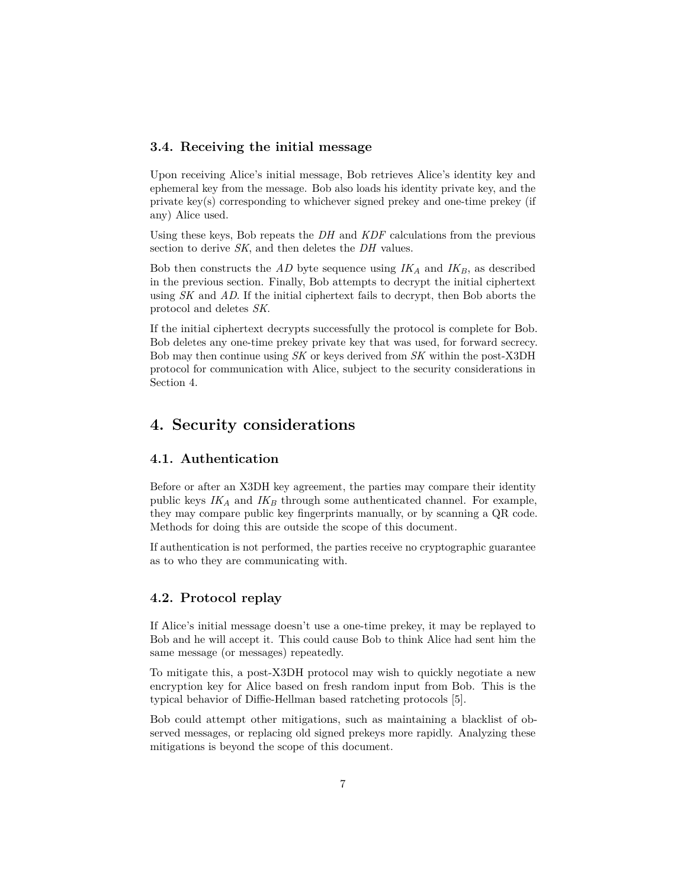### <span id="page-6-0"></span>**3.4. Receiving the initial message**

Upon receiving Alice's initial message, Bob retrieves Alice's identity key and ephemeral key from the message. Bob also loads his identity private key, and the private key(s) corresponding to whichever signed prekey and one-time prekey (if any) Alice used.

Using these keys, Bob repeats the *DH* and *KDF* calculations from the previous section to derive *SK*, and then deletes the *DH* values.

Bob then constructs the *AD* byte sequence using *IK<sup>A</sup>* and *IKB*, as described in the previous section. Finally, Bob attempts to decrypt the initial ciphertext using *SK* and *AD*. If the initial ciphertext fails to decrypt, then Bob aborts the protocol and deletes *SK*.

If the initial ciphertext decrypts successfully the protocol is complete for Bob. Bob deletes any one-time prekey private key that was used, for forward secrecy. Bob may then continue using *SK* or keys derived from *SK* within the post-X3DH protocol for communication with Alice, subject to the security considerations in [Section 4.](#page-6-4)

### <span id="page-6-4"></span><span id="page-6-1"></span>**4. Security considerations**

#### <span id="page-6-5"></span><span id="page-6-2"></span>**4.1. Authentication**

Before or after an X3DH key agreement, the parties may compare their identity public keys  $IK_A$  and  $IK_B$  through some authenticated channel. For example, they may compare public key fingerprints manually, or by scanning a QR code. Methods for doing this are outside the scope of this document.

If authentication is not performed, the parties receive no cryptographic guarantee as to who they are communicating with.

### <span id="page-6-3"></span>**4.2. Protocol replay**

If Alice's initial message doesn't use a one-time prekey, it may be replayed to Bob and he will accept it. This could cause Bob to think Alice had sent him the same message (or messages) repeatedly.

To mitigate this, a post-X3DH protocol may wish to quickly negotiate a new encryption key for Alice based on fresh random input from Bob. This is the typical behavior of Diffie-Hellman based ratcheting protocols [\[5\]](#page-10-5).

Bob could attempt other mitigations, such as maintaining a blacklist of observed messages, or replacing old signed prekeys more rapidly. Analyzing these mitigations is beyond the scope of this document.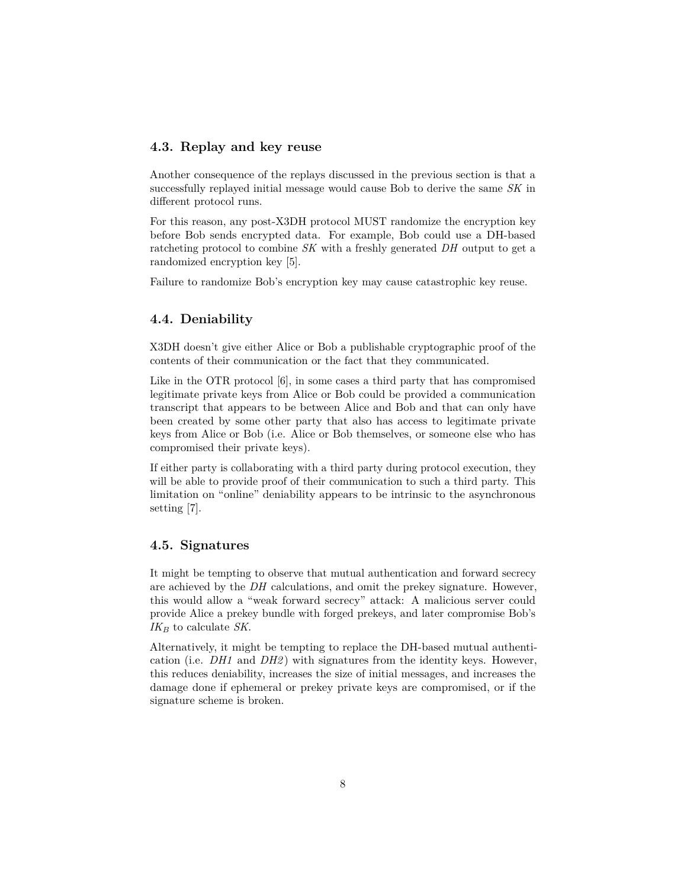#### <span id="page-7-0"></span>**4.3. Replay and key reuse**

Another consequence of the replays discussed in the previous section is that a successfully replayed initial message would cause Bob to derive the same *SK* in different protocol runs.

For this reason, any post-X3DH protocol MUST randomize the encryption key before Bob sends encrypted data. For example, Bob could use a DH-based ratcheting protocol to combine *SK* with a freshly generated *DH* output to get a randomized encryption key [\[5\]](#page-10-5).

Failure to randomize Bob's encryption key may cause catastrophic key reuse.

### <span id="page-7-1"></span>**4.4. Deniability**

X3DH doesn't give either Alice or Bob a publishable cryptographic proof of the contents of their communication or the fact that they communicated.

Like in the OTR protocol [\[6\]](#page-10-6), in some cases a third party that has compromised legitimate private keys from Alice or Bob could be provided a communication transcript that appears to be between Alice and Bob and that can only have been created by some other party that also has access to legitimate private keys from Alice or Bob (i.e. Alice or Bob themselves, or someone else who has compromised their private keys).

If either party is collaborating with a third party during protocol execution, they will be able to provide proof of their communication to such a third party. This limitation on "online" deniability appears to be intrinsic to the asynchronous setting [\[7\]](#page-10-7).

#### <span id="page-7-2"></span>**4.5. Signatures**

It might be tempting to observe that mutual authentication and forward secrecy are achieved by the *DH* calculations, and omit the prekey signature. However, this would allow a "weak forward secrecy" attack: A malicious server could provide Alice a prekey bundle with forged prekeys, and later compromise Bob's *IK<sup>B</sup>* to calculate *SK*.

Alternatively, it might be tempting to replace the DH-based mutual authentication (i.e. *DH1* and *DH2* ) with signatures from the identity keys. However, this reduces deniability, increases the size of initial messages, and increases the damage done if ephemeral or prekey private keys are compromised, or if the signature scheme is broken.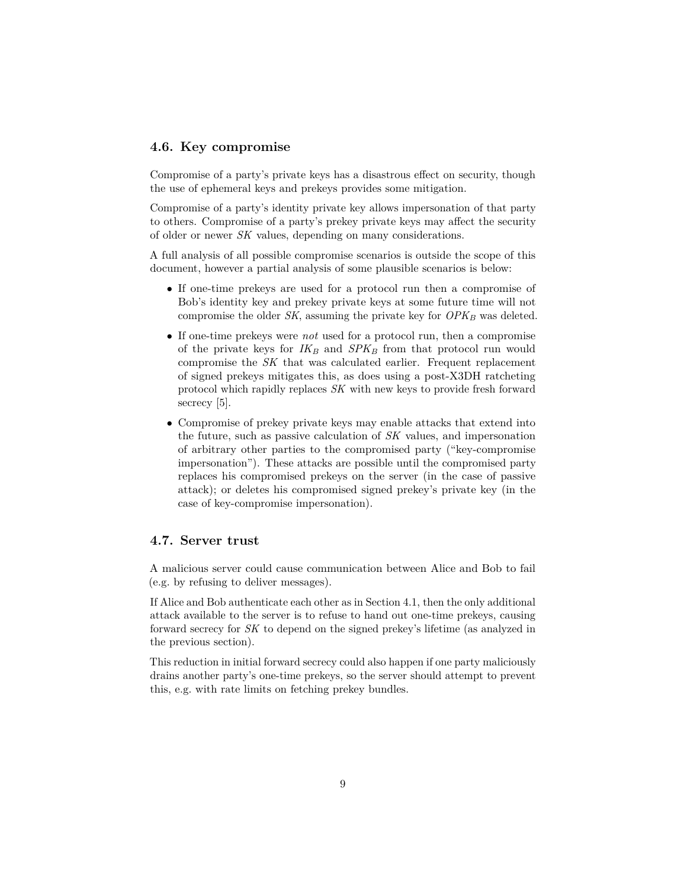#### <span id="page-8-0"></span>**4.6. Key compromise**

Compromise of a party's private keys has a disastrous effect on security, though the use of ephemeral keys and prekeys provides some mitigation.

Compromise of a party's identity private key allows impersonation of that party to others. Compromise of a party's prekey private keys may affect the security of older or newer *SK* values, depending on many considerations.

A full analysis of all possible compromise scenarios is outside the scope of this document, however a partial analysis of some plausible scenarios is below:

- If one-time prekeys are used for a protocol run then a compromise of Bob's identity key and prekey private keys at some future time will not compromise the older *SK*, assuming the private key for  $OPK_B$  was deleted.
- If one-time prekeys were *not* used for a protocol run, then a compromise of the private keys for  $IK_B$  and  $SPK_B$  from that protocol run would compromise the *SK* that was calculated earlier. Frequent replacement of signed prekeys mitigates this, as does using a post-X3DH ratcheting protocol which rapidly replaces *SK* with new keys to provide fresh forward secrecy [\[5\]](#page-10-5).
- Compromise of prekey private keys may enable attacks that extend into the future, such as passive calculation of *SK* values, and impersonation of arbitrary other parties to the compromised party ("key-compromise impersonation"). These attacks are possible until the compromised party replaces his compromised prekeys on the server (in the case of passive attack); or deletes his compromised signed prekey's private key (in the case of key-compromise impersonation).

#### <span id="page-8-2"></span><span id="page-8-1"></span>**4.7. Server trust**

A malicious server could cause communication between Alice and Bob to fail (e.g. by refusing to deliver messages).

If Alice and Bob authenticate each other as in [Section 4.1,](#page-6-5) then the only additional attack available to the server is to refuse to hand out one-time prekeys, causing forward secrecy for *SK* to depend on the signed prekey's lifetime (as analyzed in the previous section).

This reduction in initial forward secrecy could also happen if one party maliciously drains another party's one-time prekeys, so the server should attempt to prevent this, e.g. with rate limits on fetching prekey bundles.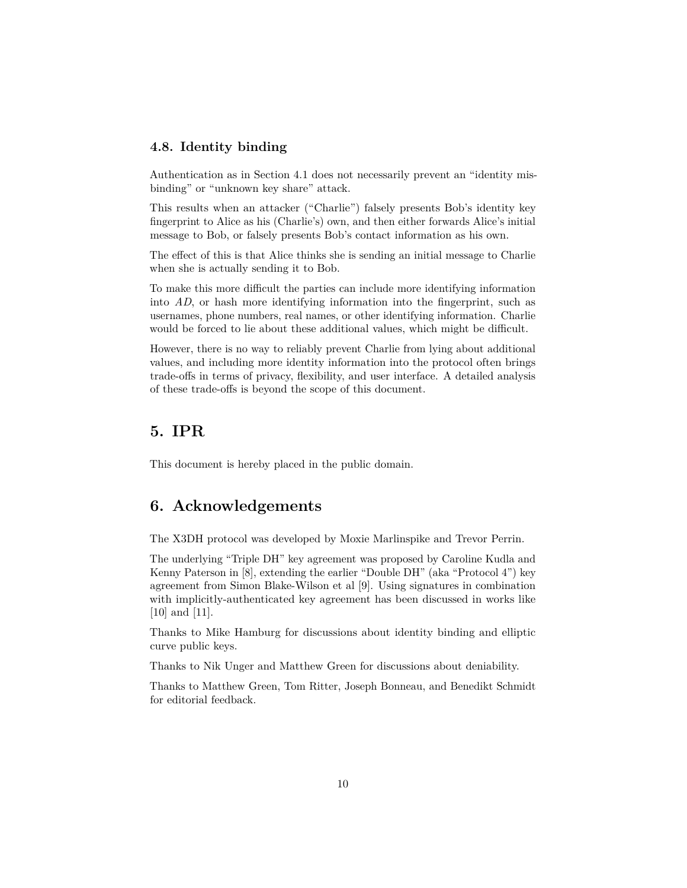#### <span id="page-9-0"></span>**4.8. Identity binding**

Authentication as in [Section 4.1](#page-6-5) does not necessarily prevent an "identity misbinding" or "unknown key share" attack.

This results when an attacker ("Charlie") falsely presents Bob's identity key fingerprint to Alice as his (Charlie's) own, and then either forwards Alice's initial message to Bob, or falsely presents Bob's contact information as his own.

The effect of this is that Alice thinks she is sending an initial message to Charlie when she is actually sending it to Bob.

To make this more difficult the parties can include more identifying information into *AD*, or hash more identifying information into the fingerprint, such as usernames, phone numbers, real names, or other identifying information. Charlie would be forced to lie about these additional values, which might be difficult.

However, there is no way to reliably prevent Charlie from lying about additional values, and including more identity information into the protocol often brings trade-offs in terms of privacy, flexibility, and user interface. A detailed analysis of these trade-offs is beyond the scope of this document.

### <span id="page-9-1"></span>**5. IPR**

This document is hereby placed in the public domain.

### <span id="page-9-2"></span>**6. Acknowledgements**

The X3DH protocol was developed by Moxie Marlinspike and Trevor Perrin.

The underlying "Triple DH" key agreement was proposed by Caroline Kudla and Kenny Paterson in [\[8\]](#page-10-8), extending the earlier "Double DH" (aka "Protocol 4") key agreement from Simon Blake-Wilson et al [\[9\]](#page-10-9). Using signatures in combination with implicitly-authenticated key agreement has been discussed in works like [\[10\]](#page-10-10) and [\[11\]](#page-10-11).

Thanks to Mike Hamburg for discussions about identity binding and elliptic curve public keys.

Thanks to Nik Unger and Matthew Green for discussions about deniability.

Thanks to Matthew Green, Tom Ritter, Joseph Bonneau, and Benedikt Schmidt for editorial feedback.